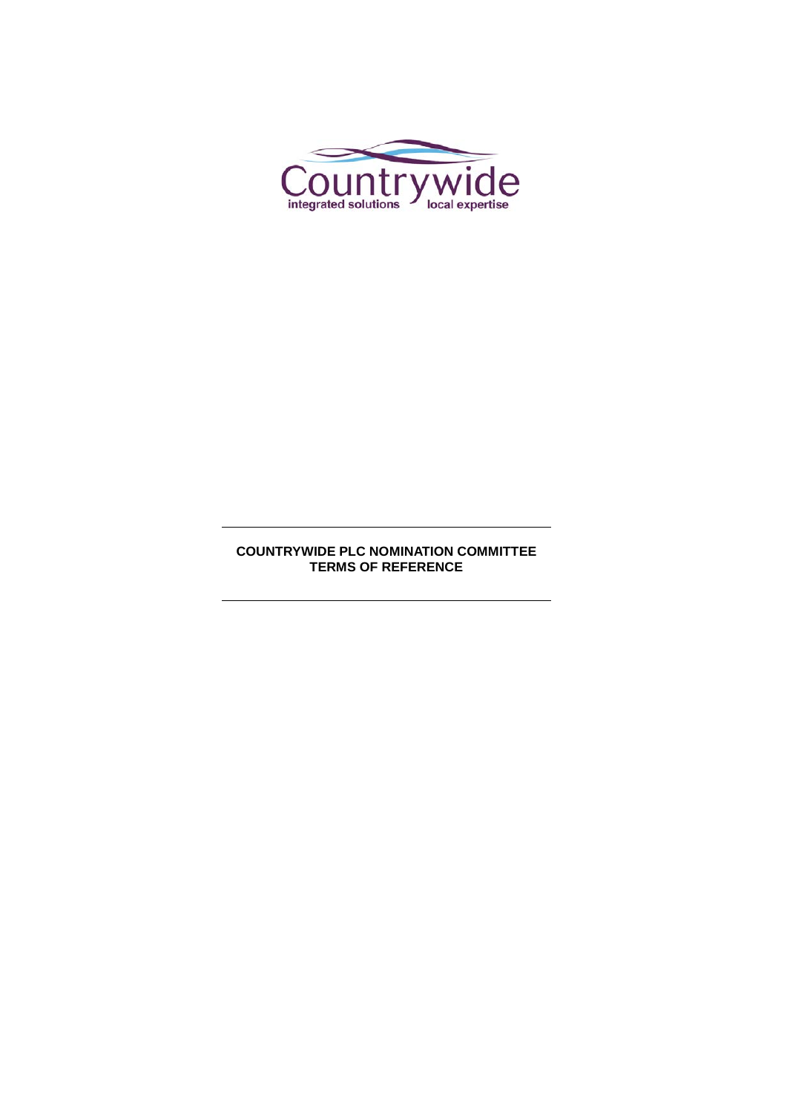

# **COUNTRYWIDE PLC NOMINATION COMMITTEE TERMS OF REFERENCE**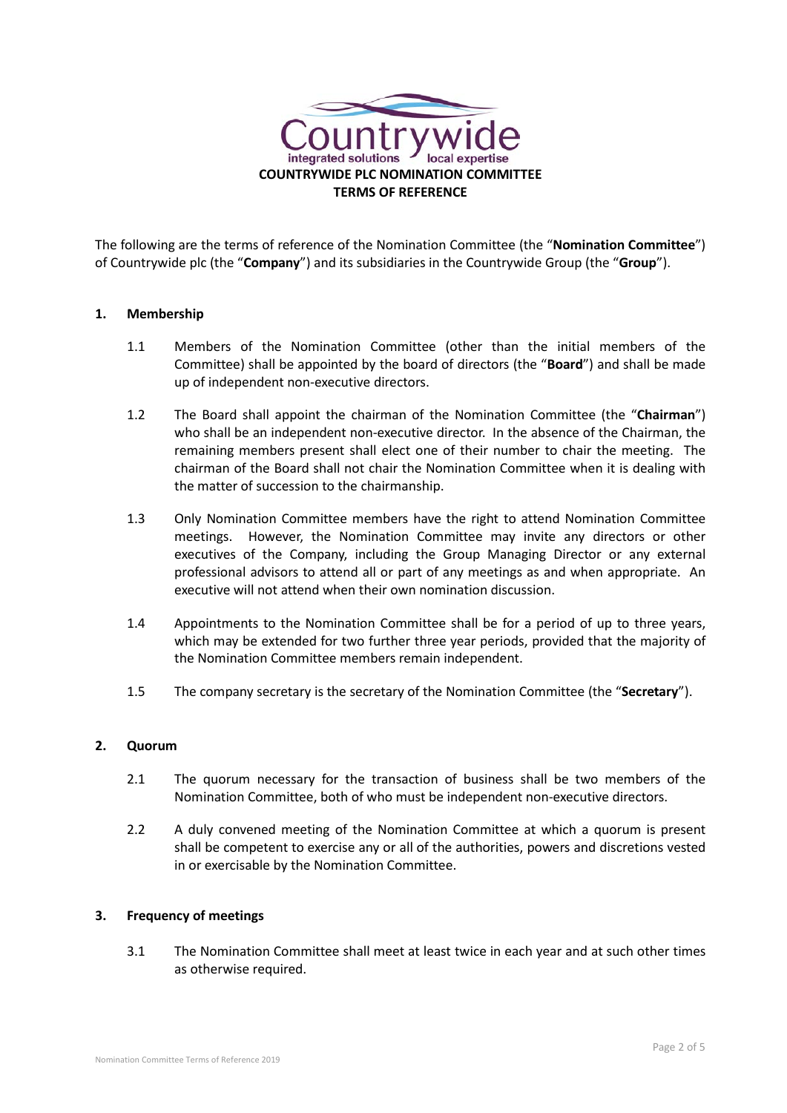

The following are the terms of reference of the Nomination Committee (the "**Nomination Committee**") of Countrywide plc (the "**Company**") and its subsidiaries in the Countrywide Group (the "**Group**").

## **1. Membership**

- 1.1 Members of the Nomination Committee (other than the initial members of the Committee) shall be appointed by the board of directors (the "**Board**") and shall be made up of independent non-executive directors.
- 1.2 The Board shall appoint the chairman of the Nomination Committee (the "**Chairman**") who shall be an independent non-executive director. In the absence of the Chairman, the remaining members present shall elect one of their number to chair the meeting. The chairman of the Board shall not chair the Nomination Committee when it is dealing with the matter of succession to the chairmanship.
- 1.3 Only Nomination Committee members have the right to attend Nomination Committee meetings. However, the Nomination Committee may invite any directors or other executives of the Company, including the Group Managing Director or any external professional advisors to attend all or part of any meetings as and when appropriate. An executive will not attend when their own nomination discussion.
- 1.4 Appointments to the Nomination Committee shall be for a period of up to three years, which may be extended for two further three year periods, provided that the majority of the Nomination Committee members remain independent.
- 1.5 The company secretary is the secretary of the Nomination Committee (the "**Secretary**").

#### **2. Quorum**

- 2.1 The quorum necessary for the transaction of business shall be two members of the Nomination Committee, both of who must be independent non-executive directors.
- 2.2 A duly convened meeting of the Nomination Committee at which a quorum is present shall be competent to exercise any or all of the authorities, powers and discretions vested in or exercisable by the Nomination Committee.

#### **3. Frequency of meetings**

3.1 The Nomination Committee shall meet at least twice in each year and at such other times as otherwise required.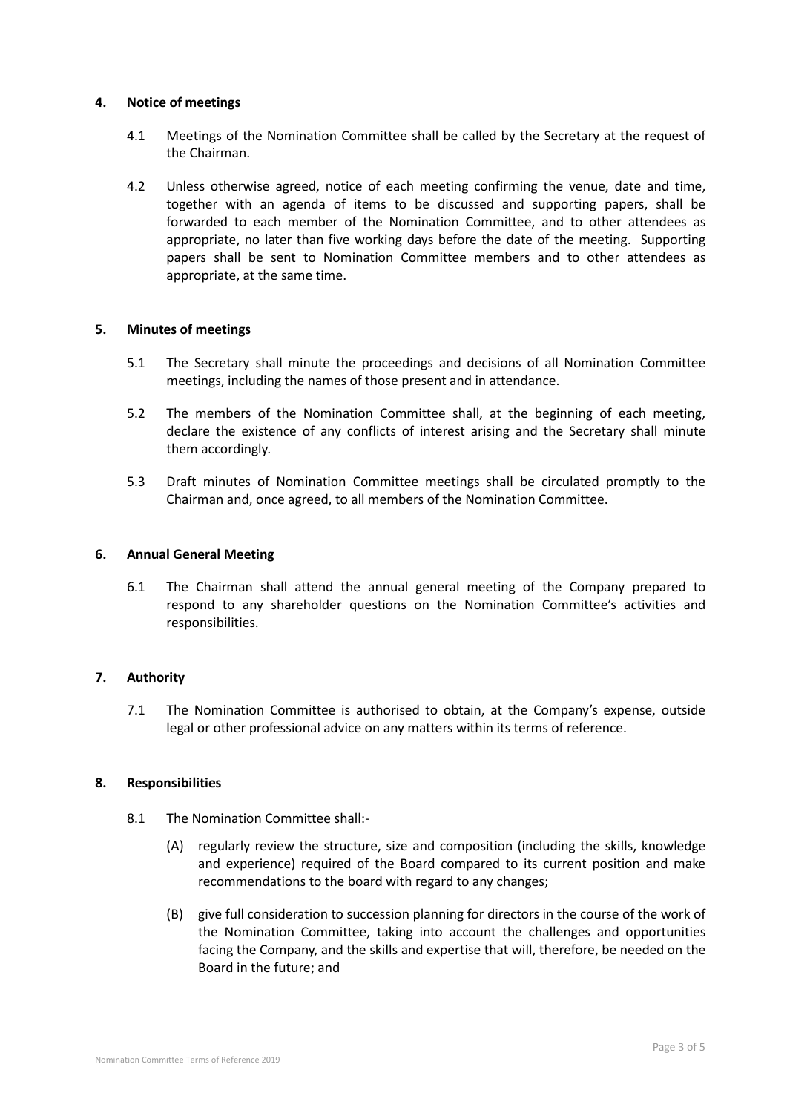### **4. Notice of meetings**

- 4.1 Meetings of the Nomination Committee shall be called by the Secretary at the request of the Chairman.
- 4.2 Unless otherwise agreed, notice of each meeting confirming the venue, date and time, together with an agenda of items to be discussed and supporting papers, shall be forwarded to each member of the Nomination Committee, and to other attendees as appropriate, no later than five working days before the date of the meeting. Supporting papers shall be sent to Nomination Committee members and to other attendees as appropriate, at the same time.

#### **5. Minutes of meetings**

- 5.1 The Secretary shall minute the proceedings and decisions of all Nomination Committee meetings, including the names of those present and in attendance.
- 5.2 The members of the Nomination Committee shall, at the beginning of each meeting, declare the existence of any conflicts of interest arising and the Secretary shall minute them accordingly.
- 5.3 Draft minutes of Nomination Committee meetings shall be circulated promptly to the Chairman and, once agreed, to all members of the Nomination Committee.

#### **6. Annual General Meeting**

6.1 The Chairman shall attend the annual general meeting of the Company prepared to respond to any shareholder questions on the Nomination Committee's activities and responsibilities.

## **7. Authority**

7.1 The Nomination Committee is authorised to obtain, at the Company's expense, outside legal or other professional advice on any matters within its terms of reference.

#### **8. Responsibilities**

- 8.1 The Nomination Committee shall:-
	- (A) regularly review the structure, size and composition (including the skills, knowledge and experience) required of the Board compared to its current position and make recommendations to the board with regard to any changes;
	- (B) give full consideration to succession planning for directors in the course of the work of the Nomination Committee, taking into account the challenges and opportunities facing the Company, and the skills and expertise that will, therefore, be needed on the Board in the future; and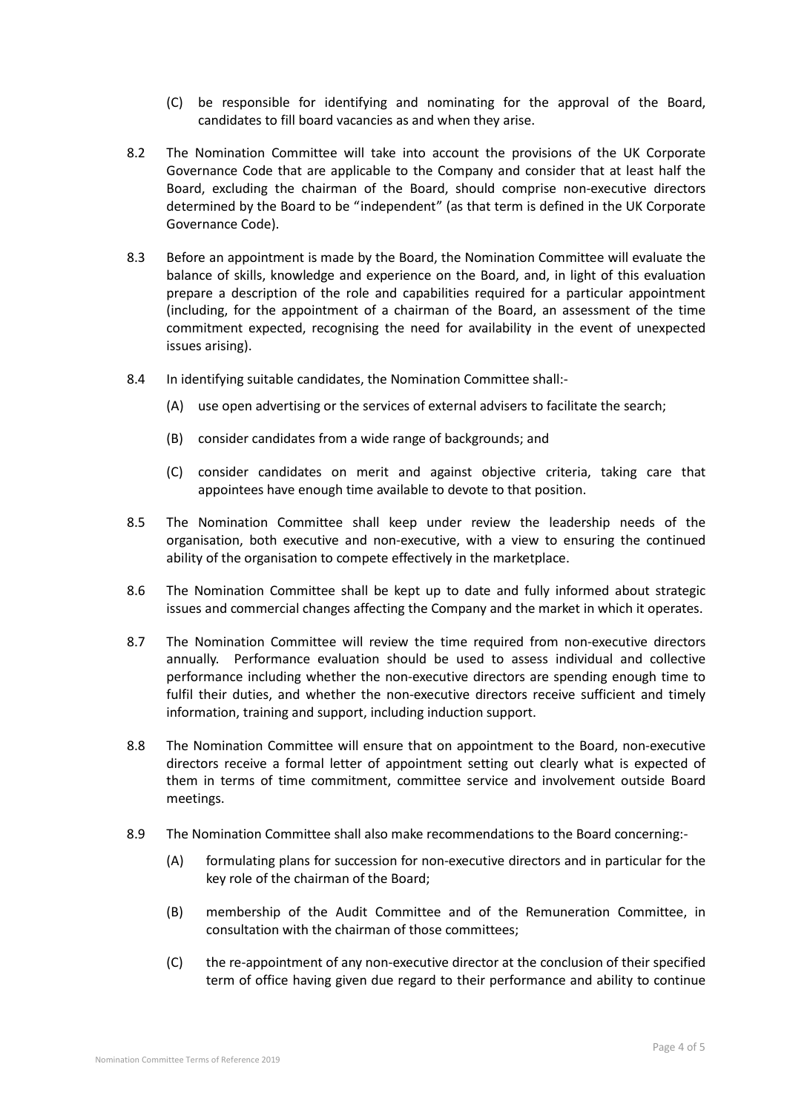- (C) be responsible for identifying and nominating for the approval of the Board, candidates to fill board vacancies as and when they arise.
- 8.2 The Nomination Committee will take into account the provisions of the UK Corporate Governance Code that are applicable to the Company and consider that at least half the Board, excluding the chairman of the Board, should comprise non-executive directors determined by the Board to be "independent" (as that term is defined in the UK Corporate Governance Code).
- 8.3 Before an appointment is made by the Board, the Nomination Committee will evaluate the balance of skills, knowledge and experience on the Board, and, in light of this evaluation prepare a description of the role and capabilities required for a particular appointment (including, for the appointment of a chairman of the Board, an assessment of the time commitment expected, recognising the need for availability in the event of unexpected issues arising).
- 8.4 In identifying suitable candidates, the Nomination Committee shall:-
	- (A) use open advertising or the services of external advisers to facilitate the search;
	- (B) consider candidates from a wide range of backgrounds; and
	- (C) consider candidates on merit and against objective criteria, taking care that appointees have enough time available to devote to that position.
- 8.5 The Nomination Committee shall keep under review the leadership needs of the organisation, both executive and non-executive, with a view to ensuring the continued ability of the organisation to compete effectively in the marketplace.
- 8.6 The Nomination Committee shall be kept up to date and fully informed about strategic issues and commercial changes affecting the Company and the market in which it operates.
- 8.7 The Nomination Committee will review the time required from non-executive directors annually. Performance evaluation should be used to assess individual and collective performance including whether the non-executive directors are spending enough time to fulfil their duties, and whether the non-executive directors receive sufficient and timely information, training and support, including induction support.
- 8.8 The Nomination Committee will ensure that on appointment to the Board, non-executive directors receive a formal letter of appointment setting out clearly what is expected of them in terms of time commitment, committee service and involvement outside Board meetings.
- 8.9 The Nomination Committee shall also make recommendations to the Board concerning:-
	- (A) formulating plans for succession for non-executive directors and in particular for the key role of the chairman of the Board;
	- (B) membership of the Audit Committee and of the Remuneration Committee, in consultation with the chairman of those committees;
	- (C) the re-appointment of any non-executive director at the conclusion of their specified term of office having given due regard to their performance and ability to continue